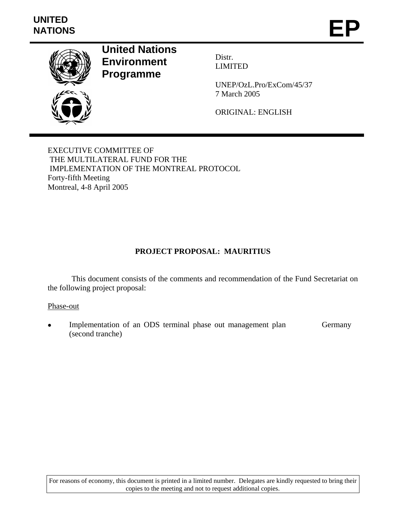# **UNITED**  UNITED<br>NATIONS **EP**



**United Nations Environment Programme** 

Distr. LIMITED

UNEP/OzL.Pro/ExCom/45/37 7 March 2005

ORIGINAL: ENGLISH

EXECUTIVE COMMITTEE OF THE MULTILATERAL FUND FOR THE IMPLEMENTATION OF THE MONTREAL PROTOCOL Forty-fifth Meeting Montreal, 4-8 April 2005

## **PROJECT PROPOSAL: MAURITIUS**

 This document consists of the comments and recommendation of the Fund Secretariat on the following project proposal:

#### Phase-out

Implementation of an ODS terminal phase out management plan (second tranche) Germany

For reasons of economy, this document is printed in a limited number. Delegates are kindly requested to bring their copies to the meeting and not to request additional copies.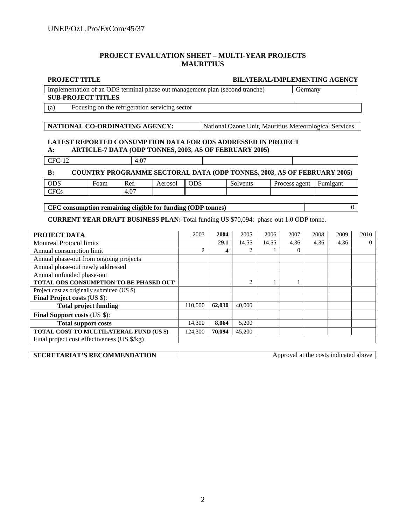#### **PROJECT EVALUATION SHEET – MULTI-YEAR PROJECTS MAURITIUS**

|                                 | <b>PROJECT TITLE</b><br>Implementation of an ODS terminal phase out management plan (second tranche) |      |                                                                                |                | <b>BILATERAL/IMPLEMENTING AGENCY</b> |                                                        |          |      |               |         |          |                |      |
|---------------------------------|------------------------------------------------------------------------------------------------------|------|--------------------------------------------------------------------------------|----------------|--------------------------------------|--------------------------------------------------------|----------|------|---------------|---------|----------|----------------|------|
|                                 |                                                                                                      |      |                                                                                |                |                                      |                                                        |          |      |               | Germany |          |                |      |
| <b>SUB-PROJECT TITLES</b>       |                                                                                                      |      |                                                                                |                |                                      |                                                        |          |      |               |         |          |                |      |
|                                 | (a)                                                                                                  |      | Focusing on the refrigeration servicing sector                                 |                |                                      |                                                        |          |      |               |         |          |                |      |
|                                 |                                                                                                      |      |                                                                                |                |                                      |                                                        |          |      |               |         |          |                |      |
|                                 | NATIONAL CO-ORDINATING AGENCY:                                                                       |      |                                                                                |                |                                      | National Ozone Unit, Mauritius Meteorological Services |          |      |               |         |          |                |      |
|                                 |                                                                                                      |      |                                                                                |                |                                      |                                                        |          |      |               |         |          |                |      |
|                                 | <b>LATEST REPORTED CONSUMPTION DATA FOR ODS ADDRESSED IN PROJECT</b>                                 |      |                                                                                |                |                                      |                                                        |          |      |               |         |          |                |      |
|                                 | $A$ :                                                                                                |      | ARTICLE-7 DATA (ODP TONNES, 2003, AS OF FEBRUARY 2005)                         |                |                                      |                                                        |          |      |               |         |          |                |      |
|                                 | $CFC-12$                                                                                             |      | 4.07                                                                           |                |                                      |                                                        |          |      |               |         |          |                |      |
|                                 |                                                                                                      |      |                                                                                |                |                                      |                                                        |          |      |               |         |          |                |      |
|                                 | B:                                                                                                   |      | <b>COUNTRY PROGRAMME SECTORAL DATA (ODP TONNES, 2003, AS OF FEBRUARY 2005)</b> |                |                                      |                                                        |          |      |               |         |          |                |      |
|                                 | <b>ODS</b>                                                                                           | Foam | Ref.                                                                           | Aerosol        | <b>ODS</b>                           |                                                        | Solvents |      | Process agent |         |          | Fumigant       |      |
|                                 | <b>CFCs</b>                                                                                          |      | 4.07                                                                           |                |                                      |                                                        |          |      |               |         |          |                |      |
|                                 |                                                                                                      |      |                                                                                |                |                                      |                                                        |          |      |               |         |          |                |      |
|                                 | CFC consumption remaining eligible for funding (ODP tonnes)                                          |      |                                                                                |                |                                      |                                                        |          |      |               |         |          | $\overline{0}$ |      |
|                                 | <b>CURRENT YEAR DRAFT BUSINESS PLAN: Total funding US \$70,094: phase-out 1.0 ODP tonne.</b>         |      |                                                                                |                |                                      |                                                        |          |      |               |         |          |                |      |
|                                 |                                                                                                      |      |                                                                                |                |                                      |                                                        |          |      |               |         |          |                |      |
|                                 | <b>PROJECT DATA</b>                                                                                  |      |                                                                                |                | 2003                                 | 2004                                                   | 2005     | 2006 | 2007          |         | 2008     | 2009           | 2010 |
| <b>Montreal Protocol limits</b> |                                                                                                      |      |                                                                                | 29.1           | 14.55                                | 14.55                                                  | 4.36     |      | 4.36          | 4.36    | $\Omega$ |                |      |
| Annual consumption limit        |                                                                                                      |      |                                                                                | $\mathfrak{D}$ | 4                                    |                                                        |          |      | $\Omega$      |         |          |                |      |
|                                 | Annual phase-out from ongoing projects                                                               |      |                                                                                |                |                                      |                                                        |          |      |               |         |          |                |      |
|                                 | Annual phase-out newly addressed                                                                     |      |                                                                                |                |                                      |                                                        |          |      |               |         |          |                |      |
|                                 | Annual unfunded phase-out                                                                            |      |                                                                                |                |                                      |                                                        |          |      |               |         |          |                |      |
|                                 | TOTAL ODS CONSUMPTION TO BE PHASED OUT                                                               |      |                                                                                |                |                                      |                                                        | 2        |      |               | 1       |          |                |      |
|                                 | Project cost as originally submitted (US \$)                                                         |      |                                                                                |                |                                      |                                                        |          |      |               |         |          |                |      |
|                                 | <b>Final Project costs (US \$):</b>                                                                  |      |                                                                                |                |                                      |                                                        |          |      |               |         |          |                |      |
|                                 | <b>Total project funding</b>                                                                         |      |                                                                                |                | 110,000                              | 62.030                                                 | 40,000   |      |               |         |          |                |      |
|                                 | Final Support costs (US \$):                                                                         |      |                                                                                |                |                                      |                                                        |          |      |               |         |          |                |      |
|                                 | <b>Total support costs</b>                                                                           |      |                                                                                |                | 14,300                               | 8,064                                                  | 5,200    |      |               |         |          |                |      |
|                                 | TOTAL COST TO MULTILATERAL FUND (US \$)                                                              |      |                                                                                |                | 124,300                              | 70.094                                                 | 45,200   |      |               |         |          |                |      |
|                                 | Final project cost effectiveness (US \$/kg)                                                          |      |                                                                                |                |                                      |                                                        |          |      |               |         |          |                |      |

| <b>SECRETARIAT'S RECOMMENDATION</b> | Approval at the costs indicated above |
|-------------------------------------|---------------------------------------|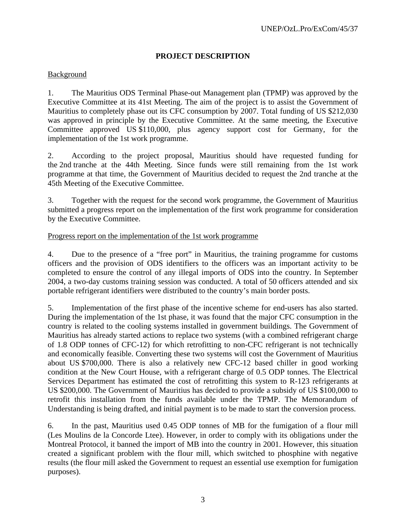## **PROJECT DESCRIPTION**

## Background

1. The Mauritius ODS Terminal Phase-out Management plan (TPMP) was approved by the Executive Committee at its 41st Meeting. The aim of the project is to assist the Government of Mauritius to completely phase out its CFC consumption by 2007. Total funding of US \$212,030 was approved in principle by the Executive Committee. At the same meeting, the Executive Committee approved US \$110,000, plus agency support cost for Germany, for the implementation of the 1st work programme.

2. According to the project proposal, Mauritius should have requested funding for the 2nd tranche at the 44th Meeting. Since funds were still remaining from the 1st work programme at that time, the Government of Mauritius decided to request the 2nd tranche at the 45th Meeting of the Executive Committee.

3. Together with the request for the second work programme, the Government of Mauritius submitted a progress report on the implementation of the first work programme for consideration by the Executive Committee.

#### Progress report on the implementation of the 1st work programme

4. Due to the presence of a "free port" in Mauritius, the training programme for customs officers and the provision of ODS identifiers to the officers was an important activity to be completed to ensure the control of any illegal imports of ODS into the country. In September 2004, a two-day customs training session was conducted. A total of 50 officers attended and six portable refrigerant identifiers were distributed to the country's main border posts.

5. Implementation of the first phase of the incentive scheme for end-users has also started. During the implementation of the 1st phase, it was found that the major CFC consumption in the country is related to the cooling systems installed in government buildings. The Government of Mauritius has already started actions to replace two systems (with a combined refrigerant charge of 1.8 ODP tonnes of CFC-12) for which retrofitting to non-CFC refrigerant is not technically and economically feasible. Converting these two systems will cost the Government of Mauritius about US \$700,000. There is also a relatively new CFC-12 based chiller in good working condition at the New Court House, with a refrigerant charge of 0.5 ODP tonnes. The Electrical Services Department has estimated the cost of retrofitting this system to R-123 refrigerants at US \$200,000. The Government of Mauritius has decided to provide a subsidy of US \$100,000 to retrofit this installation from the funds available under the TPMP. The Memorandum of Understanding is being drafted, and initial payment is to be made to start the conversion process.

6. In the past, Mauritius used 0.45 ODP tonnes of MB for the fumigation of a flour mill (Les Moulins de la Concorde Ltee). However, in order to comply with its obligations under the Montreal Protocol, it banned the import of MB into the country in 2001. However, this situation created a significant problem with the flour mill, which switched to phosphine with negative results (the flour mill asked the Government to request an essential use exemption for fumigation purposes).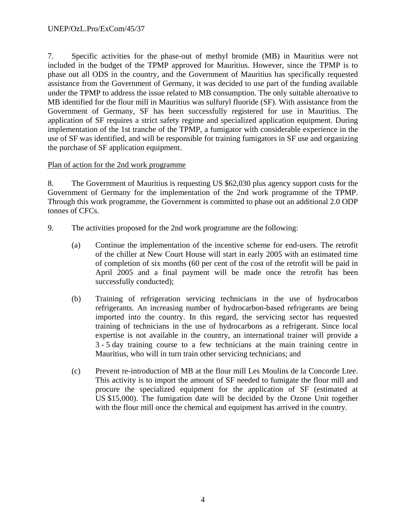7. Specific activities for the phase-out of methyl bromide (MB) in Mauritius were not included in the budget of the TPMP approved for Mauritius. However, since the TPMP is to phase out all ODS in the country, and the Government of Mauritius has specifically requested assistance from the Government of Germany, it was decided to use part of the funding available under the TPMP to address the issue related to MB consumption. The only suitable alternative to MB identified for the flour mill in Mauritius was sulfuryl fluoride (SF). With assistance from the Government of Germany, SF has been successfully registered for use in Mauritius. The application of SF requires a strict safety regime and specialized application equipment. During implementation of the 1st tranche of the TPMP, a fumigator with considerable experience in the use of SF was identified, and will be responsible for training fumigators in SF use and organizing the purchase of SF application equipment.

## Plan of action for the 2nd work programme

8. The Government of Mauritius is requesting US \$62,030 plus agency support costs for the Government of Germany for the implementation of the 2nd work programme of the TPMP. Through this work programme, the Government is committed to phase out an additional 2.0 ODP tonnes of CFCs.

- 9. The activities proposed for the 2nd work programme are the following:
	- (a) Continue the implementation of the incentive scheme for end-users. The retrofit of the chiller at New Court House will start in early 2005 with an estimated time of completion of six months (60 per cent of the cost of the retrofit will be paid in April 2005 and a final payment will be made once the retrofit has been successfully conducted);
	- (b) Training of refrigeration servicing technicians in the use of hydrocarbon refrigerants. An increasing number of hydrocarbon-based refrigerants are being imported into the country. In this regard, the servicing sector has requested training of technicians in the use of hydrocarbons as a refrigerant. Since local expertise is not available in the country, an international trainer will provide a 3 - 5 day training course to a few technicians at the main training centre in Mauritius, who will in turn train other servicing technicians; and
	- (c) Prevent re-introduction of MB at the flour mill Les Moulins de la Concorde Ltee. This activity is to import the amount of SF needed to fumigate the flour mill and procure the specialized equipment for the application of SF (estimated at US \$15,000). The fumigation date will be decided by the Ozone Unit together with the flour mill once the chemical and equipment has arrived in the country.